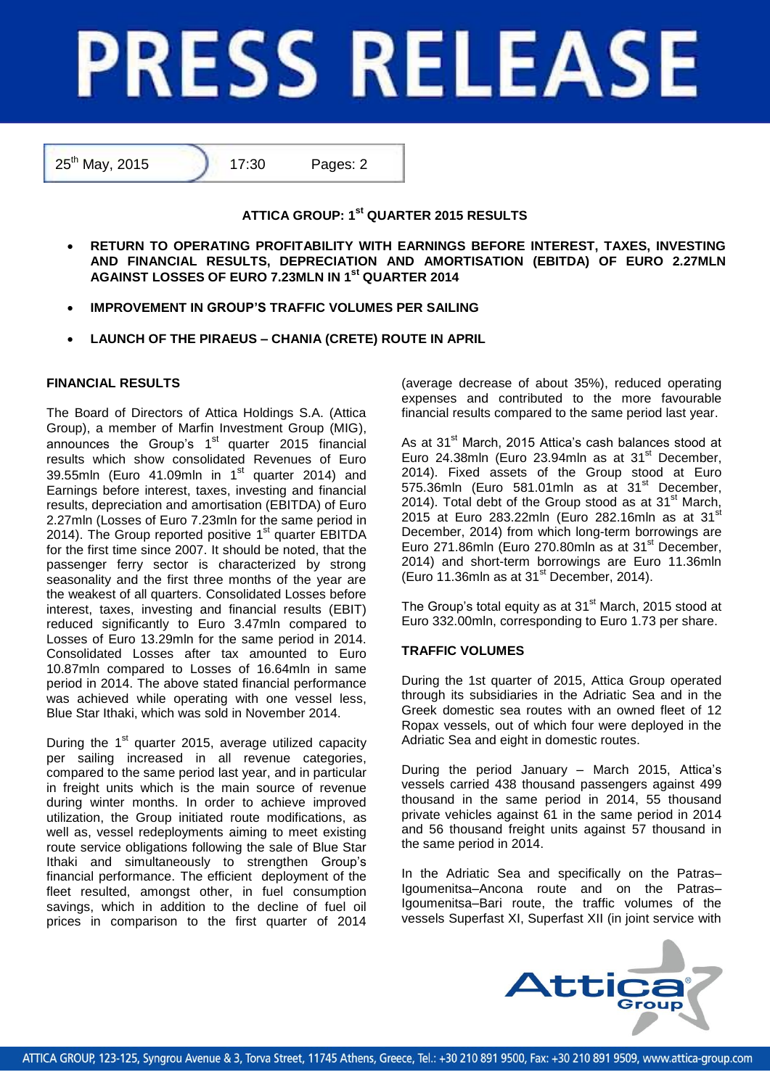# **PRESS RELEASE**

25<sup>th</sup> May, 2015 17:30 Pages: 2

# **ATTICA GROUP: 1st QUARTER 2015 RESULTS**

- **RETURN TO OPERATING PROFITABILITY WITH EARNINGS BEFORE INTEREST, TAXES, INVESTING AND FINANCIAL RESULTS, DEPRECIATION AND AMORTISATION (EBITDA) OF EURO 2.27MLN AGAINST LOSSES OF EURO 7.23MLN IN 1 st QUARTER 2014**
- **IMPROVEMENT IN GROUP'S TRAFFIC VOLUMES PER SAILING**
- **LAUNCH OF THE PIRAEUS – CHANIA (CRETE) ROUTE IN APRIL**

## **FINANCIAL RESULTS**

The Board of Directors of Attica Holdings S.A. (Attica Group), a member of Marfin Investment Group (MIG), announces the Group's  $1<sup>st</sup>$  quarter 2015 financial results which show consolidated Revenues of Euro 39.55mln (Euro 41.09mln in  $1<sup>st</sup>$  quarter 2014) and Earnings before interest, taxes, investing and financial results, depreciation and amortisation (EBITDA) of Euro 2.27mln (Losses of Euro 7.23mln for the same period in 2014). The Group reported positive 1<sup>st</sup> quarter EBITDA for the first time since 2007. It should be noted, that the passenger ferry sector is characterized by strong seasonality and the first three months of the year are the weakest of all quarters. Consolidated Losses before interest, taxes, investing and financial results (EBIT) reduced significantly to Euro 3.47mln compared to Losses of Euro 13.29mln for the same period in 2014. Consolidated Losses after tax amounted to Euro 10.87mln compared to Losses of 16.64mln in same period in 2014. The above stated financial performance was achieved while operating with one vessel less, Blue Star Ithaki, which was sold in November 2014.

During the 1<sup>st</sup> quarter 2015, average utilized capacity per sailing increased in all revenue categories, compared to the same period last year, and in particular in freight units which is the main source of revenue during winter months. In order to achieve improved utilization, the Group initiated route modifications, as well as, vessel redeployments aiming to meet existing route service obligations following the sale of Blue Star Ithaki and simultaneously to strengthen Group's financial performance. The efficient deployment of the fleet resulted, amongst other, in fuel consumption savings, which in addition to the decline of fuel oil prices in comparison to the first quarter of 2014

(average decrease of about 35%), reduced operating expenses and contributed to the more favourable financial results compared to the same period last year.

As at 31<sup>st</sup> March, 2015 Attica's cash balances stood at Euro 24.38mln (Euro 23.94mln as at 31<sup>st</sup> December, 2014). Fixed assets of the Group stood at Euro 575.36mln (Euro 581.01mln as at  $31<sup>st</sup>$  December, 2014). Total debt of the Group stood as at  $31<sup>st</sup>$  March, 2015 at Euro 283.22mln (Euro 282.16mln as at 31 $\mathrm{st}$ December, 2014) from which long-term borrowings are Euro 271.86mln (Euro 270.80mln as at 31<sup>st</sup> December, 2014) and short-term borrowings are Euro 11.36mln  $(Func 11.36mln as at 31<sup>st</sup> December, 2014).$ 

The Group's total equity as at 31<sup>st</sup> March, 2015 stood at Euro 332.00mln, corresponding to Euro 1.73 per share.

### **TRAFFIC VOLUMES**

During the 1st quarter of 2015, Attica Group operated through its subsidiaries in the Adriatic Sea and in the Greek domestic sea routes with an owned fleet of 12 Ropax vessels, out of which four were deployed in the Adriatic Sea and eight in domestic routes.

During the period January – March 2015, Attica's vessels carried 438 thousand passengers against 499 thousand in the same period in 2014, 55 thousand private vehicles against 61 in the same period in 2014 and 56 thousand freight units against 57 thousand in the same period in 2014.

In the Adriatic Sea and specifically on the Patras– Igoumenitsa–Ancona route and on the Patras– Igoumenitsa–Bari route, the traffic volumes of the vessels Superfast XI, Superfast XII (in joint service with